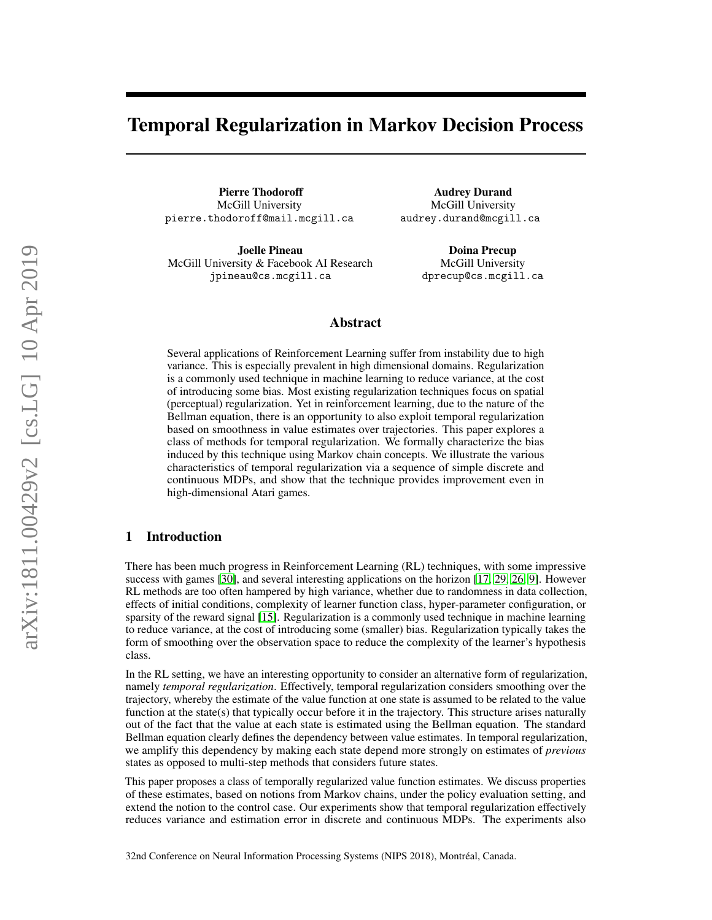# <span id="page-0-0"></span>Temporal Regularization in Markov Decision Process

Pierre Thodoroff McGill University pierre.thodoroff@mail.mcgill.ca

Joelle Pineau McGill University & Facebook AI Research jpineau@cs.mcgill.ca

Audrey Durand McGill University audrey.durand@mcgill.ca

> Doina Precup McGill University dprecup@cs.mcgill.ca

# Abstract

Several applications of Reinforcement Learning suffer from instability due to high variance. This is especially prevalent in high dimensional domains. Regularization is a commonly used technique in machine learning to reduce variance, at the cost of introducing some bias. Most existing regularization techniques focus on spatial (perceptual) regularization. Yet in reinforcement learning, due to the nature of the Bellman equation, there is an opportunity to also exploit temporal regularization based on smoothness in value estimates over trajectories. This paper explores a class of methods for temporal regularization. We formally characterize the bias induced by this technique using Markov chain concepts. We illustrate the various characteristics of temporal regularization via a sequence of simple discrete and continuous MDPs, and show that the technique provides improvement even in high-dimensional Atari games.

# 1 Introduction

There has been much progress in Reinforcement Learning (RL) techniques, with some impressive success with games [\[30\]](#page-10-0), and several interesting applications on the horizon [\[17,](#page-9-0) [29,](#page-10-1) [26,](#page-10-2) [9\]](#page-9-1). However RL methods are too often hampered by high variance, whether due to randomness in data collection, effects of initial conditions, complexity of learner function class, hyper-parameter configuration, or sparsity of the reward signal [\[15\]](#page-9-2). Regularization is a commonly used technique in machine learning to reduce variance, at the cost of introducing some (smaller) bias. Regularization typically takes the form of smoothing over the observation space to reduce the complexity of the learner's hypothesis class.

In the RL setting, we have an interesting opportunity to consider an alternative form of regularization, namely *temporal regularization*. Effectively, temporal regularization considers smoothing over the trajectory, whereby the estimate of the value function at one state is assumed to be related to the value function at the state(s) that typically occur before it in the trajectory. This structure arises naturally out of the fact that the value at each state is estimated using the Bellman equation. The standard Bellman equation clearly defines the dependency between value estimates. In temporal regularization, we amplify this dependency by making each state depend more strongly on estimates of *previous* states as opposed to multi-step methods that considers future states.

This paper proposes a class of temporally regularized value function estimates. We discuss properties of these estimates, based on notions from Markov chains, under the policy evaluation setting, and extend the notion to the control case. Our experiments show that temporal regularization effectively reduces variance and estimation error in discrete and continuous MDPs. The experiments also

32nd Conference on Neural Information Processing Systems (NIPS 2018), Montréal, Canada.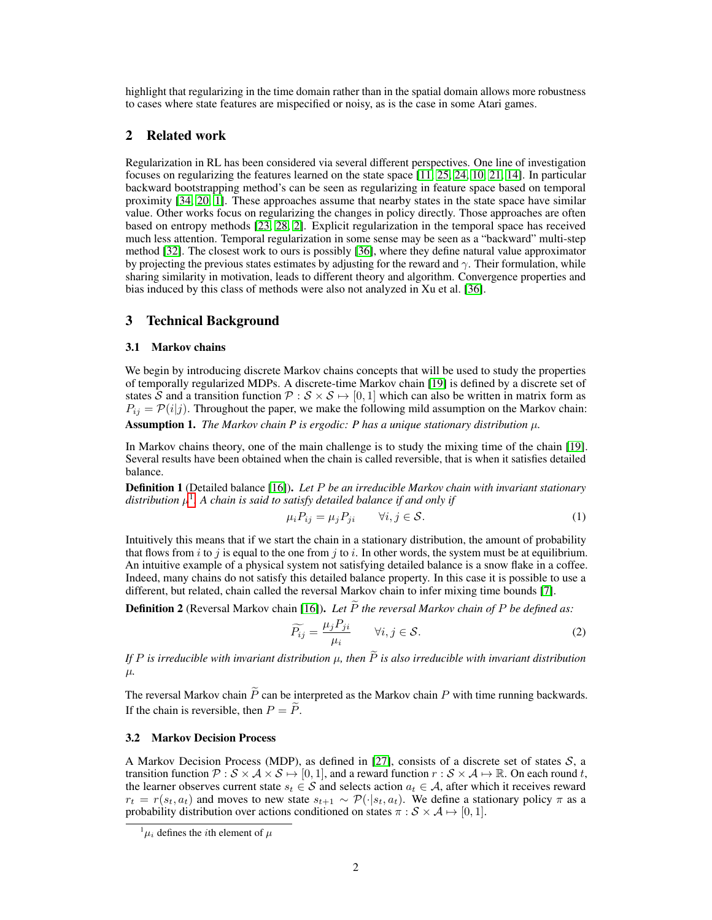highlight that regularizing in the time domain rather than in the spatial domain allows more robustness to cases where state features are mispecified or noisy, as is the case in some Atari games.

# 2 Related work

Regularization in RL has been considered via several different perspectives. One line of investigation focuses on regularizing the features learned on the state space [\[11,](#page-9-3) [25,](#page-10-3) [24,](#page-10-4) [10,](#page-9-4) [21,](#page-9-5) [14\]](#page-9-6). In particular backward bootstrapping method's can be seen as regularizing in feature space based on temporal proximity [\[34,](#page-10-5) [20,](#page-9-7) [1\]](#page-9-8). These approaches assume that nearby states in the state space have similar value. Other works focus on regularizing the changes in policy directly. Those approaches are often based on entropy methods [\[23,](#page-10-6) [28,](#page-10-7) [2\]](#page-9-9). Explicit regularization in the temporal space has received much less attention. Temporal regularization in some sense may be seen as a "backward" multi-step method [\[32\]](#page-10-8). The closest work to ours is possibly [\[36\]](#page-10-9), where they define natural value approximator by projecting the previous states estimates by adjusting for the reward and  $\gamma$ . Their formulation, while sharing similarity in motivation, leads to different theory and algorithm. Convergence properties and bias induced by this class of methods were also not analyzed in Xu et al. [\[36\]](#page-10-9).

# 3 Technical Background

### 3.1 Markov chains

We begin by introducing discrete Markov chains concepts that will be used to study the properties of temporally regularized MDPs. A discrete-time Markov chain [\[19\]](#page-9-10) is defined by a discrete set of states  $\bar{S}$  and a transition function  $\mathcal{P}: \mathcal{S} \times \mathcal{S} \mapsto [0, 1]$  which can also be written in matrix form as  $P_{ij} = \mathcal{P}(i|j)$ . Throughout the paper, we make the following mild assumption on the Markov chain: Assumption 1. *The Markov chain P is ergodic: P has a unique stationary distribution*  $\mu$ .

In Markov chains theory, one of the main challenge is to study the mixing time of the chain [\[19\]](#page-9-10). Several results have been obtained when the chain is called reversible, that is when it satisfies detailed balance.

Definition 1 (Detailed balance [\[16\]](#page-9-11)). *Let* P *be an irreducible Markov chain with invariant stationary* distribution  $\mu^1.$  $\mu^1.$  $\mu^1.$  A chain is said to satisfy detailed balance if and only if

$$
\mu_i P_{ij} = \mu_j P_{ji} \qquad \forall i, j \in \mathcal{S}.
$$
 (1)

Intuitively this means that if we start the chain in a stationary distribution, the amount of probability that flows from i to j is equal to the one from j to i. In other words, the system must be at equilibrium. An intuitive example of a physical system not satisfying detailed balance is a snow flake in a coffee. Indeed, many chains do not satisfy this detailed balance property. In this case it is possible to use a different, but related, chain called the reversal Markov chain to infer mixing time bounds [\[7\]](#page-9-12).

**Definition 2** (Reversal Markov chain [\[16\]](#page-9-11)). *Let*  $\widetilde{P}$  *the reversal Markov chain of*  $P$  *be defined as:* 

$$
\widetilde{P_{ij}} = \frac{\mu_j P_{ji}}{\mu_i} \qquad \forall i, j \in \mathcal{S}.
$$
 (2)

*If* P is irreducible with invariant distribution  $\mu$ , then  $\tilde{P}$  is also irreducible with invariant distribution µ*.*

The reversal Markov chain  $\widetilde{P}$  can be interpreted as the Markov chain P with time running backwards. If the chain is reversible, then  $P = \tilde{P}$ .

### 3.2 Markov Decision Process

A Markov Decision Process (MDP), as defined in [\[27\]](#page-10-10), consists of a discrete set of states  $S$ , a transition function  $\mathcal{P}: \mathcal{S} \times \mathcal{A} \times \mathcal{S} \mapsto [0, 1]$ , and a reward function  $r : \mathcal{S} \times \mathcal{A} \mapsto \mathbb{R}$ . On each round t, the learner observes current state  $s_t \in S$  and selects action  $a_t \in A$ , after which it receives reward  $r_t = r(s_t, a_t)$  and moves to new state  $s_{t+1} \sim \mathcal{P}(\cdot|s_t, a_t)$ . We define a stationary policy  $\pi$  as a probability distribution over actions conditioned on states  $\pi : \mathcal{S} \times \mathcal{A} \mapsto [0, 1]$ .

 $^{1}\mu_{i}$  defines the *i*th element of  $\mu$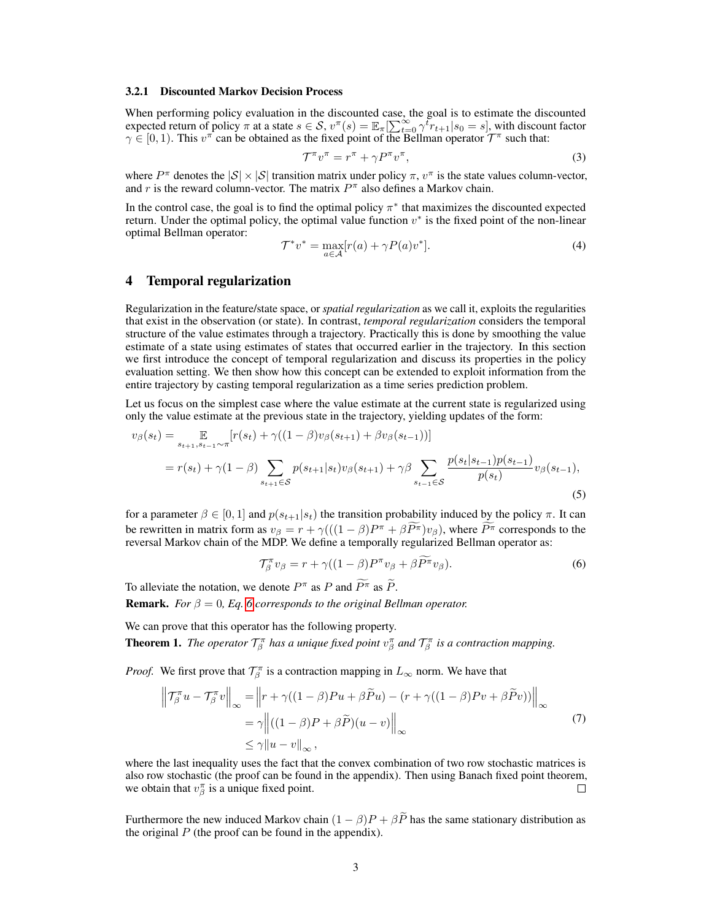#### 3.2.1 Discounted Markov Decision Process

When performing policy evaluation in the discounted case, the goal is to estimate the discounted expected return of policy  $\pi$  at a state  $s \in S$ ,  $v^{\pi}(s) = \mathbb{E}_{\pi}[\sum_{t=0}^{\infty} \gamma^t r_{t+1}|s_0 = s]$ , with discount factor  $\gamma \in [0,1)$ . This  $v^{\pi}$  can be obtained as the fixed point of the Bellman operator  $\mathcal{T}^{\pi}$  such that:

$$
\mathcal{T}^{\pi}v^{\pi} = r^{\pi} + \gamma P^{\pi}v^{\pi},\tag{3}
$$

where  $P^{\pi}$  denotes the  $|S| \times |S|$  transition matrix under policy  $\pi$ ,  $v^{\pi}$  is the state values column-vector, and r is the reward column-vector. The matrix  $P^{\pi}$  also defines a Markov chain.

In the control case, the goal is to find the optimal policy  $\pi^*$  that maximizes the discounted expected return. Under the optimal policy, the optimal value function  $v^*$  is the fixed point of the non-linear optimal Bellman operator:

$$
\mathcal{T}^* v^* = \max_{a \in \mathcal{A}} [r(a) + \gamma P(a) v^*]. \tag{4}
$$

# <span id="page-2-1"></span>4 Temporal regularization

Regularization in the feature/state space, or *spatial regularization* as we call it, exploits the regularities that exist in the observation (or state). In contrast, *temporal regularization* considers the temporal structure of the value estimates through a trajectory. Practically this is done by smoothing the value estimate of a state using estimates of states that occurred earlier in the trajectory. In this section we first introduce the concept of temporal regularization and discuss its properties in the policy evaluation setting. We then show how this concept can be extended to exploit information from the entire trajectory by casting temporal regularization as a time series prediction problem.

Let us focus on the simplest case where the value estimate at the current state is regularized using only the value estimate at the previous state in the trajectory, yielding updates of the form:

$$
v_{\beta}(s_t) = \mathop{\mathbb{E}}_{s_{t+1}, s_{t-1} \sim \pi} [r(s_t) + \gamma((1-\beta)v_{\beta}(s_{t+1}) + \beta v_{\beta}(s_{t-1}))]
$$
  
=  $r(s_t) + \gamma(1-\beta) \sum_{s_{t+1} \in S} p(s_{t+1}|s_t) v_{\beta}(s_{t+1}) + \gamma \beta \sum_{s_{t-1} \in S} \frac{p(s_t|s_{t-1})p(s_{t-1})}{p(s_t)} v_{\beta}(s_{t-1}),$  (5)

for a parameter  $\beta \in [0,1]$  and  $p(s_{t+1}|s_t)$  the transition probability induced by the policy  $\pi$ . It can be rewritten in matrix form as  $v_{\beta} = r + \gamma ((1 - \beta)P^{\pi} + \beta P^{\pi})v_{\beta})$ , where  $P^{\pi}$  corresponds to the reversal Markov chain of the MDP. We define a temporally regularized Bellman operator as:

<span id="page-2-0"></span>
$$
\mathcal{T}_{\beta}^{\pi}v_{\beta} = r + \gamma((1-\beta)P^{\pi}v_{\beta} + \beta\widetilde{P^{\pi}}v_{\beta}).
$$
\n(6)

To alleviate the notation, we denote  $P^{\pi}$  as P and  $\tilde{P}^{\pi}$  as  $\tilde{P}$ .

**Remark.** *For*  $\beta = 0$ , *Eq.* [6](#page-2-0) *corresponds to the original Bellman operator.* 

We can prove that this operator has the following property.

**Theorem 1.** *The operator*  $\mathcal{T}_{\beta}^{\pi}$  *has a unique fixed point*  $v_{\beta}^{\pi}$  *and*  $\mathcal{T}_{\beta}^{\pi}$  *is a contraction mapping.* 

*Proof.* We first prove that  $\mathcal{T}_{\beta}^{\pi}$  is a contraction mapping in  $L_{\infty}$  norm. We have that

$$
\left\| \mathcal{T}_{\beta}^{\pi} u - \mathcal{T}_{\beta}^{\pi} v \right\|_{\infty} = \left\| r + \gamma \left( (1 - \beta) P u + \beta \widetilde{P} u \right) - \left( r + \gamma \left( (1 - \beta) P v + \beta \widetilde{P} v \right) \right) \right\|_{\infty}
$$
  
\n
$$
= \gamma \left\| \left( (1 - \beta) P + \beta \widetilde{P} \right) (u - v) \right\|_{\infty}
$$
  
\n
$$
\leq \gamma \| u - v \|_{\infty},
$$
\n(7)

where the last inequality uses the fact that the convex combination of two row stochastic matrices is also row stochastic (the proof can be found in the appendix). Then using Banach fixed point theorem, we obtain that  $v_{\beta}^{\pi}$  is a unique fixed point.  $\Box$ 

Furthermore the new induced Markov chain  $(1 - \beta)P + \beta \tilde{P}$  has the same stationary distribution as the original  $P$  (the proof can be found in the appendix).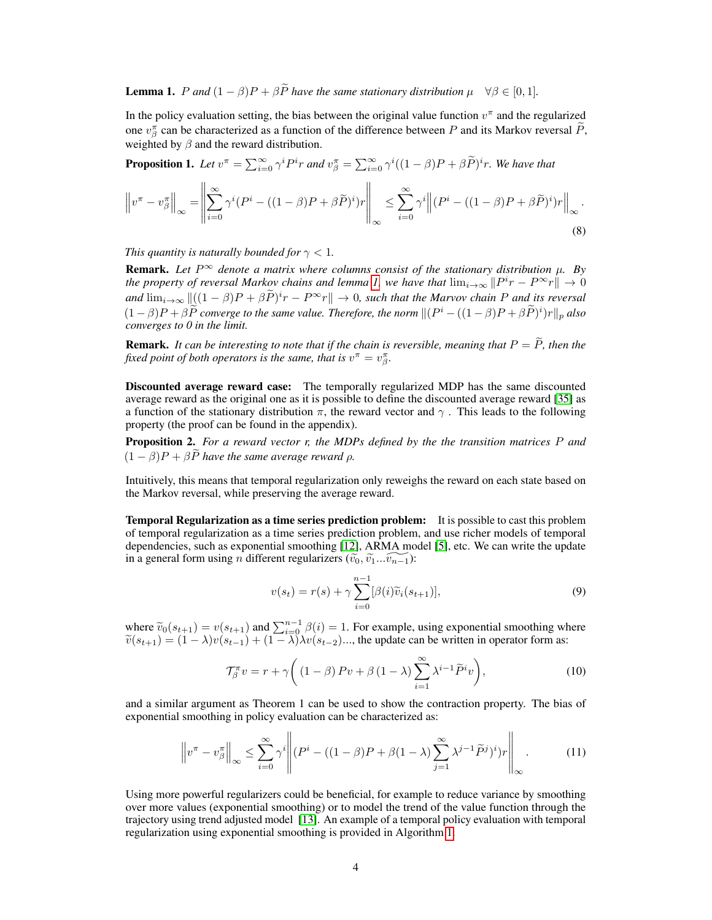<span id="page-3-0"></span>**Lemma 1.** P and  $(1 - \beta)P + \beta \tilde{P}$  have the same stationary distribution  $\mu \quad \forall \beta \in [0, 1]$ .

In the policy evaluation setting, the bias between the original value function  $v^{\pi}$  and the regularized one  $v_{\beta}^{\pi}$  can be characterized as a function of the difference between P and its Markov reversal  $\tilde{P}$ , weighted by  $\beta$  and the reward distribution.

**Proposition 1.** Let  $v^{\pi} = \sum_{i=0}^{\infty} \gamma^{i} P^{i} r$  and  $v^{\pi}_{\beta} = \sum_{i=0}^{\infty} \gamma^{i} ((1-\beta)P + \beta \widetilde{P})^{i} r$ . We have that

$$
\left\|v^{\pi} - v_{\beta}^{\pi}\right\|_{\infty} = \left\|\sum_{i=0}^{\infty} \gamma^{i} (P^{i} - ((1-\beta)P + \beta\widetilde{P})^{i})r\right\|_{\infty} \le \sum_{i=0}^{\infty} \gamma^{i} \left\|(P^{i} - ((1-\beta)P + \beta\widetilde{P})^{i})r\right\|_{\infty}.
$$
\n(8)

*This quantity is naturally bounded for*  $\gamma$  < 1*.* 

**Remark.** Let  $P^{\infty}$  denote a matrix where columns consist of the stationary distribution  $\mu$ . By the property of reversal Markov chains and lemma [1,](#page-3-0) we have that  $\lim_{i\to\infty}||P^ir - P^{\infty}r|| \to 0$  $\lim_{k \to \infty} ||[(1 - \beta)P + \beta \tilde{P})^i r - P^{\infty} r|| \to 0$ , such that the Marvov chain P and its reversal  $(1 - \beta)P + \beta \tilde{P}$  converge to the same value. Therefore, the norm  $\| (P^i - ((1 - \beta)P + \beta \tilde{P})^i) r \|_p$  also *converges to 0 in the limit.*

**Remark.** It can be interesting to note that if the chain is reversible, meaning that  $P = \widetilde{P}$ , then the fixed point of both operators is the same, that is  $v^{\pi} = v^{\pi}_{\beta}$ .

Discounted average reward case: The temporally regularized MDP has the same discounted average reward as the original one as it is possible to define the discounted average reward [\[35\]](#page-10-11) as a function of the stationary distribution  $\pi$ , the reward vector and  $\gamma$ . This leads to the following property (the proof can be found in the appendix).

Proposition 2. *For a reward vector r, the MDPs defined by the the transition matrices* P *and*  $(1 - \beta)P + \beta P$  *have the same average reward*  $\rho$ *.* 

Intuitively, this means that temporal regularization only reweighs the reward on each state based on the Markov reversal, while preserving the average reward.

Temporal Regularization as a time series prediction problem: It is possible to cast this problem of temporal regularization as a time series prediction problem, and use richer models of temporal dependencies, such as exponential smoothing [\[12\]](#page-9-13), ARMA model [\[5\]](#page-9-14), etc. We can write the update in a general form using *n* different regularizers  $(\widetilde{v_0}, \widetilde{v_1}...\widetilde{v_{n-1}})$ :

<span id="page-3-1"></span>
$$
v(s_t) = r(s) + \gamma \sum_{i=0}^{n-1} [\beta(i)\widetilde{v}_i(s_{t+1})],
$$
\n(9)

where  $\tilde{v}_0(s_{t+1}) = v(s_{t+1})$  and  $\sum_{i=0}^{n-1} \beta(i) = 1$ . For example, using exponential smoothing where  $\tilde{v}_0(s_{t+1}) = (1 - \lambda)v(s_{t+1}) + (1 - \lambda)v(s_{t+2})$  the undate can be written in operator form as:  $\widetilde{v}(s_{t+1}) = (1 - \lambda)v(s_{t-1}) + (1 - \lambda)\lambda v(s_{t-2})\dots$ , the update can be written in operator form as:

$$
\mathcal{T}_{\beta}^{\pi} v = r + \gamma \bigg( \left(1 - \beta\right) P v + \beta \left(1 - \lambda\right) \sum_{i=1}^{\infty} \lambda^{i-1} \widetilde{P}^{i} v \bigg), \tag{10}
$$

and a similar argument as Theorem 1 can be used to show the contraction property. The bias of exponential smoothing in policy evaluation can be characterized as:

$$
\left\|v^{\pi} - v_{\beta}^{\pi}\right\|_{\infty} \le \sum_{i=0}^{\infty} \gamma^{i} \left\| (P^{i} - ((1-\beta)P + \beta(1-\lambda)) \sum_{j=1}^{\infty} \lambda^{j-1} \widetilde{P}^{j})^{i}) r \right\|_{\infty}.
$$
 (11)

Using more powerful regularizers could be beneficial, for example to reduce variance by smoothing over more values (exponential smoothing) or to model the trend of the value function through the trajectory using trend adjusted model [\[13\]](#page-9-15). An example of a temporal policy evaluation with temporal regularization using exponential smoothing is provided in Algorithm [1.](#page-4-0)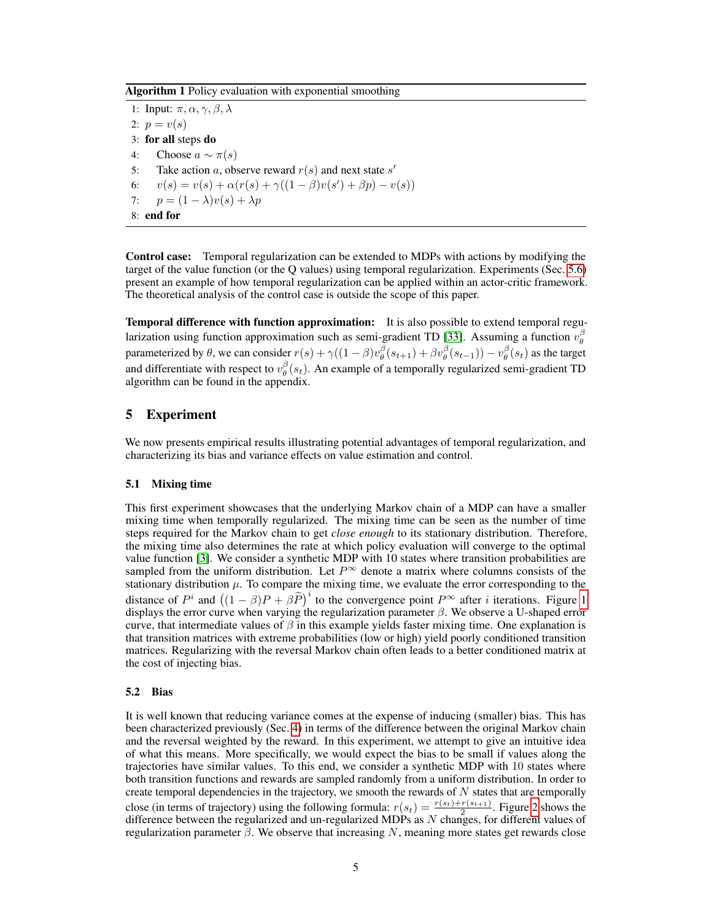Algorithm 1 Policy evaluation with exponential smoothing

1: Input:  $\pi, \alpha, \gamma, \beta, \lambda$ 2:  $p = v(s)$ 3: for all steps do 4: Choose  $a \sim \pi(s)$ 5: Take action a, observe reward  $r(s)$  and next state s' 6:  $v(s) = v(s) + \alpha(r(s) + \gamma((1-\beta)v(s') + \beta p) - v(s))$ 7:  $p = (1 - \lambda)v(s) + \lambda p$ 8: end for

<span id="page-4-0"></span>Control case: Temporal regularization can be extended to MDPs with actions by modifying the target of the value function (or the Q values) using temporal regularization. Experiments (Sec. [5.6\)](#page-7-0) present an example of how temporal regularization can be applied within an actor-critic framework. The theoretical analysis of the control case is outside the scope of this paper.

Temporal difference with function approximation: It is also possible to extend temporal regu-larization using function approximation such as semi-gradient TD [\[33\]](#page-10-12). Assuming a function  $v_{\theta}^{\beta}$ parameterized by  $\theta$ , we can consider  $r(s) + \gamma((1-\beta)v_{\theta}^{\beta}(s_{t+1}) + \beta v_{\theta}^{\beta}(s_{t-1})) - v_{\theta}^{\beta}(s_t)$  as the target and differentiate with respect to  $v_{\theta}^{\beta}(s_t)$ . An example of a temporally regularized semi-gradient TD algorithm can be found in the appendix.

# 5 Experiment

We now presents empirical results illustrating potential advantages of temporal regularization, and characterizing its bias and variance effects on value estimation and control.

### 5.1 Mixing time

This first experiment showcases that the underlying Markov chain of a MDP can have a smaller mixing time when temporally regularized. The mixing time can be seen as the number of time steps required for the Markov chain to get *close enough* to its stationary distribution. Therefore, the mixing time also determines the rate at which policy evaluation will converge to the optimal value function [\[3\]](#page-9-16). We consider a synthetic MDP with 10 states where transition probabilities are sampled from the uniform distribution. Let  $P^{\infty}$  denote a matrix where columns consists of the stationary distribution  $\mu$ . To compare the mixing time, we evaluate the error corresponding to the distance of  $P^i$  and  $((1 - \beta)P + \beta \tilde{P})^i$  to the convergence point  $P^{\infty}$  after *i* iterations. Figure [1](#page-5-0) displays the error curve when varying the regularization parameter  $\beta$ . We observe a U-shaped error curve, that intermediate values of  $\beta$  in this example yields faster mixing time. One explanation is that transition matrices with extreme probabilities (low or high) yield poorly conditioned transition matrices. Regularizing with the reversal Markov chain often leads to a better conditioned matrix at the cost of injecting bias.

#### 5.2 Bias

It is well known that reducing variance comes at the expense of inducing (smaller) bias. This has been characterized previously (Sec. [4\)](#page-2-1) in terms of the difference between the original Markov chain and the reversal weighted by the reward. In this experiment, we attempt to give an intuitive idea of what this means. More specifically, we would expect the bias to be small if values along the trajectories have similar values. To this end, we consider a synthetic MDP with 10 states where both transition functions and rewards are sampled randomly from a uniform distribution. In order to create temporal dependencies in the trajectory, we smooth the rewards of  $N$  states that are temporally close (in terms of trajectory) using the following formula:  $r(s_t) = \frac{r(s_t) + r(s_{t+1})}{2}$ . Figure [2](#page-5-0) shows the difference between the regularized and un-regularized MDPs as  $N$  changes, for different values of regularization parameter  $β$ . We observe that increasing N, meaning more states get rewards close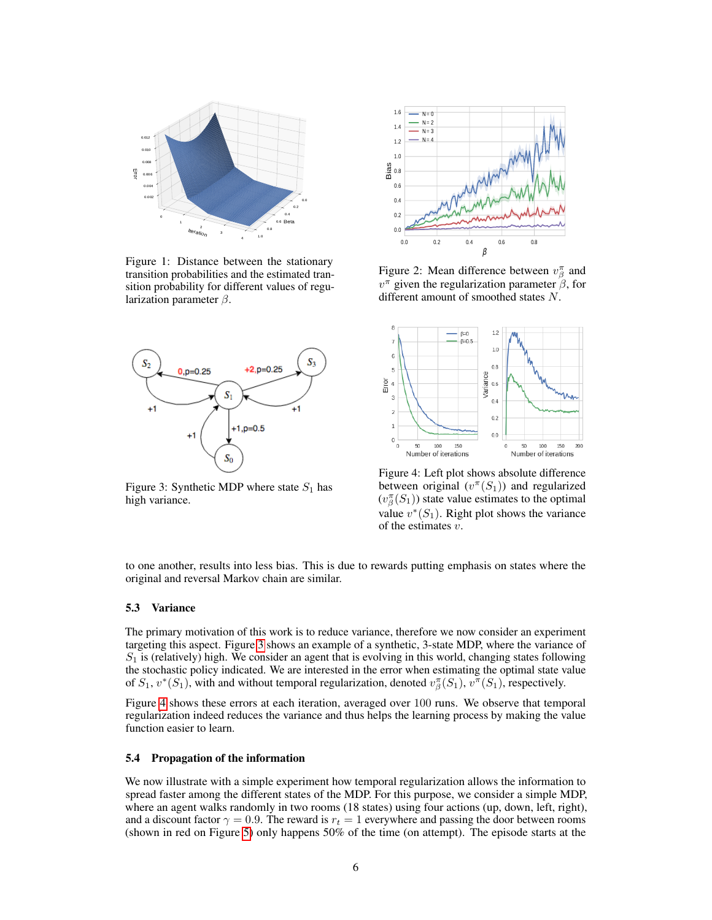<span id="page-5-0"></span>

Figure 1: Distance between the stationary transition probabilities and the estimated transition probability for different values of regularization parameter  $\beta$ .

<span id="page-5-1"></span>

Figure 3: Synthetic MDP where state  $S_1$  has high variance.



Figure 2: Mean difference between  $v_{\beta}^{\pi}$  and  $v^{\pi}$  given the regularization parameter  $\beta$ , for different amount of smoothed states N.



Figure 4: Left plot shows absolute difference between original  $(v^{\pi}(S_1))$  and regularized  $(v_{\beta}^{\pi}(S_1))$  state value estimates to the optimal value  $v^*(S_1)$ . Right plot shows the variance of the estimates  $v$ .

to one another, results into less bias. This is due to rewards putting emphasis on states where the original and reversal Markov chain are similar.

### 5.3 Variance

The primary motivation of this work is to reduce variance, therefore we now consider an experiment targeting this aspect. Figure [3](#page-5-1) shows an example of a synthetic, 3-state MDP, where the variance of  $S_1$  is (relatively) high. We consider an agent that is evolving in this world, changing states following the stochastic policy indicated. We are interested in the error when estimating the optimal state value of  $S_1$ ,  $v^*(S_1)$ , with and without temporal regularization, denoted  $v^{\pi}_{\beta}(S_1)$ ,  $v^{\pi}(S_1)$ , respectively.

Figure [4](#page-5-1) shows these errors at each iteration, averaged over 100 runs. We observe that temporal regularization indeed reduces the variance and thus helps the learning process by making the value function easier to learn.

#### 5.4 Propagation of the information

We now illustrate with a simple experiment how temporal regularization allows the information to spread faster among the different states of the MDP. For this purpose, we consider a simple MDP, where an agent walks randomly in two rooms (18 states) using four actions (up, down, left, right), and a discount factor  $\gamma = 0.9$ . The reward is  $r_t = 1$  everywhere and passing the door between rooms (shown in red on Figure [5\)](#page-6-0) only happens 50% of the time (on attempt). The episode starts at the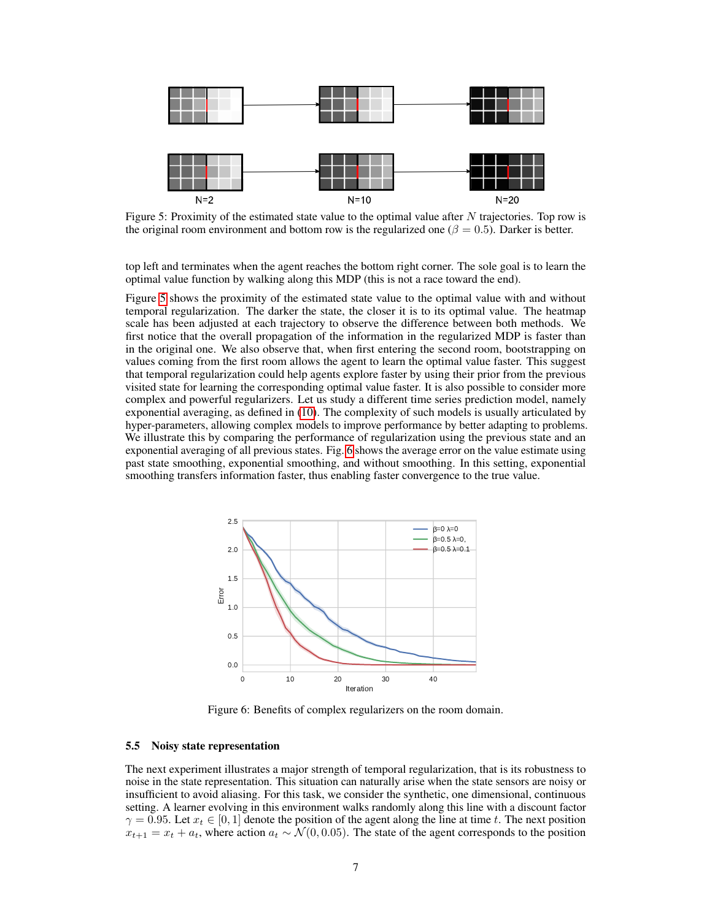<span id="page-6-0"></span>

Figure 5: Proximity of the estimated state value to the optimal value after  $N$  trajectories. Top row is the original room environment and bottom row is the regularized one ( $\beta = 0.5$ ). Darker is better.

top left and terminates when the agent reaches the bottom right corner. The sole goal is to learn the optimal value function by walking along this MDP (this is not a race toward the end).

Figure [5](#page-6-0) shows the proximity of the estimated state value to the optimal value with and without temporal regularization. The darker the state, the closer it is to its optimal value. The heatmap scale has been adjusted at each trajectory to observe the difference between both methods. We first notice that the overall propagation of the information in the regularized MDP is faster than in the original one. We also observe that, when first entering the second room, bootstrapping on values coming from the first room allows the agent to learn the optimal value faster. This suggest that temporal regularization could help agents explore faster by using their prior from the previous visited state for learning the corresponding optimal value faster. It is also possible to consider more complex and powerful regularizers. Let us study a different time series prediction model, namely exponential averaging, as defined in [\(10\)](#page-3-1). The complexity of such models is usually articulated by hyper-parameters, allowing complex models to improve performance by better adapting to problems. We illustrate this by comparing the performance of regularization using the previous state and an exponential averaging of all previous states. Fig. [6](#page-6-1) shows the average error on the value estimate using past state smoothing, exponential smoothing, and without smoothing. In this setting, exponential smoothing transfers information faster, thus enabling faster convergence to the true value.

<span id="page-6-1"></span>

Figure 6: Benefits of complex regularizers on the room domain.

#### <span id="page-6-2"></span>5.5 Noisy state representation

The next experiment illustrates a major strength of temporal regularization, that is its robustness to noise in the state representation. This situation can naturally arise when the state sensors are noisy or insufficient to avoid aliasing. For this task, we consider the synthetic, one dimensional, continuous setting. A learner evolving in this environment walks randomly along this line with a discount factor  $\gamma = 0.95$ . Let  $x_t \in [0, 1]$  denote the position of the agent along the line at time t. The next position  $x_{t+1} = x_t + a_t$ , where action  $a_t \sim \mathcal{N}(0, 0.05)$ . The state of the agent corresponds to the position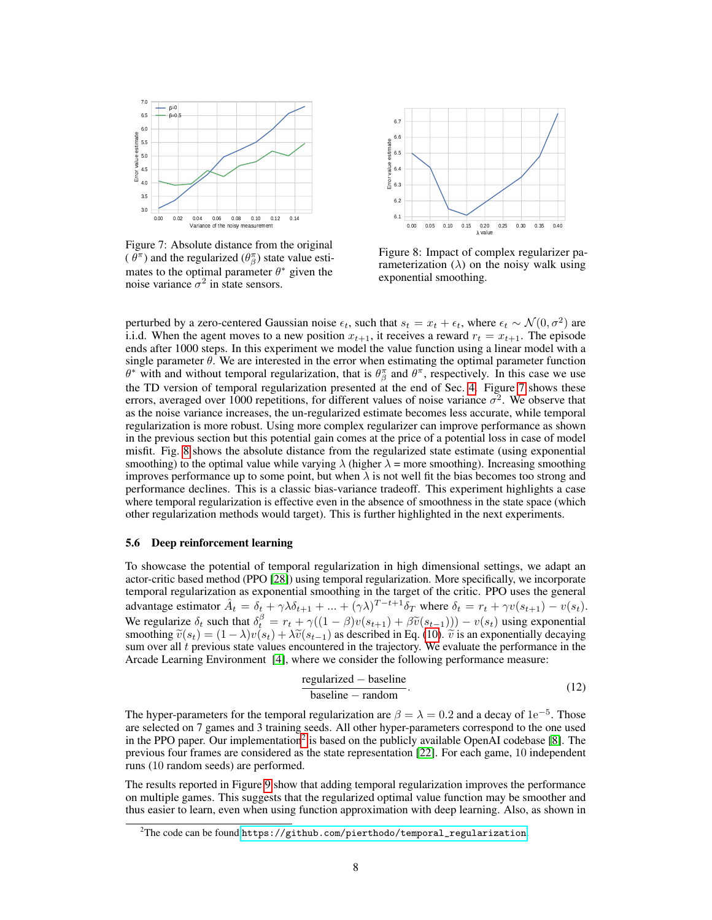<span id="page-7-1"></span>

Figure 7: Absolute distance from the original  $(\theta^{\pi})$  and the regularized  $(\theta^{\pi}_{\beta})$  state value estimates to the optimal parameter  $\theta^*$  given the noise variance  $\sigma^2$  in state sensors.



Figure 8: Impact of complex regularizer parameterization  $(\lambda)$  on the noisy walk using exponential smoothing.

perturbed by a zero-centered Gaussian noise  $\epsilon_t$ , such that  $s_t = x_t + \epsilon_t$ , where  $\epsilon_t \sim \mathcal{N}(0, \sigma^2)$  are i.i.d. When the agent moves to a new position  $x_{t+1}$ , it receives a reward  $r_t = x_{t+1}$ . The episode ends after 1000 steps. In this experiment we model the value function using a linear model with a single parameter  $\theta$ . We are interested in the error when estimating the optimal parameter function  $\theta^*$  with and without temporal regularization, that is  $\theta^{\pi}_{\beta}$  and  $\theta^{\pi}$ , respectively. In this case we use the TD version of temporal regularization presented at the end of Sec. [4.](#page-2-1) Figure [7](#page-7-1) shows these errors, averaged over 1000 repetitions, for different values of noise variance  $\sigma^2$ . We observe that as the noise variance increases, the un-regularized estimate becomes less accurate, while temporal regularization is more robust. Using more complex regularizer can improve performance as shown in the previous section but this potential gain comes at the price of a potential loss in case of model misfit. Fig. [8](#page-7-1) shows the absolute distance from the regularized state estimate (using exponential smoothing) to the optimal value while varying  $\lambda$  (higher  $\lambda$  = more smoothing). Increasing smoothing improves performance up to some point, but when  $\lambda$  is not well fit the bias becomes too strong and performance declines. This is a classic bias-variance tradeoff. This experiment highlights a case where temporal regularization is effective even in the absence of smoothness in the state space (which other regularization methods would target). This is further highlighted in the next experiments.

### <span id="page-7-0"></span>5.6 Deep reinforcement learning

To showcase the potential of temporal regularization in high dimensional settings, we adapt an actor-critic based method (PPO [\[28\]](#page-10-7)) using temporal regularization. More specifically, we incorporate temporal regularization as exponential smoothing in the target of the critic. PPO uses the general advantage estimator  $\hat{A}_t = \delta_t + \gamma \lambda \delta_{t+1} + ... + (\gamma \lambda)^{T-t+1} \delta_T$  where  $\delta_t = r_t + \gamma v(s_{t+1}) - v(s_t)$ . We regularize  $\delta_t$  such that  $\delta_t^{\beta} = r_t + \gamma((1 - \beta)v(s_{t+1}) + \beta \tilde{v}(s_{t-1}))) - v(s_t)$  using exponential smoothing  $\tilde{v}(s_t) - (1 - \lambda)v(s_t) + \lambda \tilde{v}(s_{t-1})$  as described in Eq. (10)  $\tilde{v}(s_t)$  is an exponentially decaying smoothing  $\tilde{v}(s_t) = (1 - \lambda)v(s_t) + \lambda \tilde{v}(s_{t-1})$  as described in Eq. [\(10\)](#page-3-1).  $\tilde{v}$  is an exponentially decaying sum over all t previous state values encountered in the trajectory. We evaluate the performance in the sum over all  $t$  previous state values encountered in the trajectory. We evaluate the performance in the Arcade Learning Environment [\[4\]](#page-9-17), where we consider the following performance measure:

<span id="page-7-2"></span>
$$
\frac{\text{regularized} - \text{baseline}}{\text{baseline} - \text{random}}.\tag{12}
$$

The hyper-parameters for the temporal regularization are  $\beta = \lambda = 0.2$  and a decay of 1e<sup>-5</sup>. Those are selected on 7 games and 3 training seeds. All other hyper-parameters correspond to the one used in the PPO paper. Our implementation<sup>[2](#page-0-0)</sup> is based on the publicly available OpenAI codebase [\[8\]](#page-9-18). The previous four frames are considered as the state representation [\[22\]](#page-9-19). For each game, 10 independent runs (10 random seeds) are performed.

The results reported in Figure [9](#page-8-0) show that adding temporal regularization improves the performance on multiple games. This suggests that the regularized optimal value function may be smoother and thus easier to learn, even when using function approximation with deep learning. Also, as shown in

 $2$ The code can be found [https://github.com/pierthodo/temporal\\_regularization](https://github.com/pierthodo/temporal_regularization).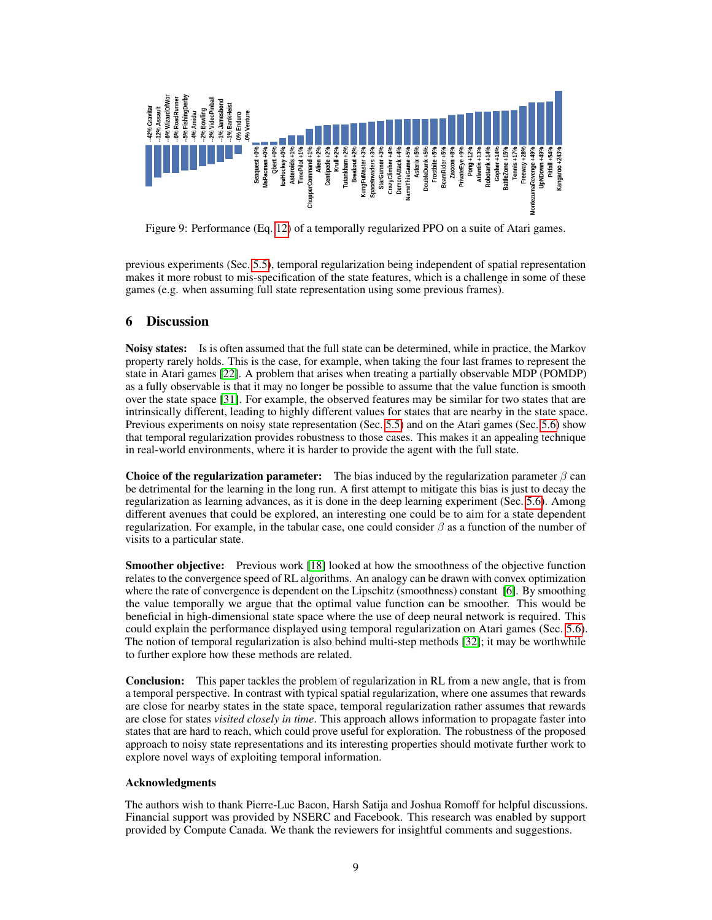<span id="page-8-0"></span>

Figure 9: Performance (Eq. [12\)](#page-7-2) of a temporally regularized PPO on a suite of Atari games.

previous experiments (Sec. [5.5\)](#page-6-2), temporal regularization being independent of spatial representation makes it more robust to mis-specification of the state features, which is a challenge in some of these games (e.g. when assuming full state representation using some previous frames).

### 6 Discussion

**Noisy states:** Is is often assumed that the full state can be determined, while in practice, the Markov property rarely holds. This is the case, for example, when taking the four last frames to represent the state in Atari games [\[22\]](#page-9-19). A problem that arises when treating a partially observable MDP (POMDP) as a fully observable is that it may no longer be possible to assume that the value function is smooth over the state space [\[31\]](#page-10-13). For example, the observed features may be similar for two states that are intrinsically different, leading to highly different values for states that are nearby in the state space. Previous experiments on noisy state representation (Sec. [5.5\)](#page-6-2) and on the Atari games (Sec. [5.6\)](#page-7-0) show that temporal regularization provides robustness to those cases. This makes it an appealing technique in real-world environments, where it is harder to provide the agent with the full state.

**Choice of the regularization parameter:** The bias induced by the regularization parameter  $\beta$  can be detrimental for the learning in the long run. A first attempt to mitigate this bias is just to decay the regularization as learning advances, as it is done in the deep learning experiment (Sec. [5.6\)](#page-7-0). Among different avenues that could be explored, an interesting one could be to aim for a state dependent regularization. For example, in the tabular case, one could consider  $\beta$  as a function of the number of visits to a particular state.

**Smoother objective:** Previous work [\[18\]](#page-9-20) looked at how the smoothness of the objective function relates to the convergence speed of RL algorithms. An analogy can be drawn with convex optimization where the rate of convergence is dependent on the Lipschitz (smoothness) constant [\[6\]](#page-9-21). By smoothing the value temporally we argue that the optimal value function can be smoother. This would be beneficial in high-dimensional state space where the use of deep neural network is required. This could explain the performance displayed using temporal regularization on Atari games (Sec. [5.6\)](#page-7-0). The notion of temporal regularization is also behind multi-step methods [\[32\]](#page-10-8); it may be worthwhile to further explore how these methods are related.

Conclusion: This paper tackles the problem of regularization in RL from a new angle, that is from a temporal perspective. In contrast with typical spatial regularization, where one assumes that rewards are close for nearby states in the state space, temporal regularization rather assumes that rewards are close for states *visited closely in time*. This approach allows information to propagate faster into states that are hard to reach, which could prove useful for exploration. The robustness of the proposed approach to noisy state representations and its interesting properties should motivate further work to explore novel ways of exploiting temporal information.

### Acknowledgments

The authors wish to thank Pierre-Luc Bacon, Harsh Satija and Joshua Romoff for helpful discussions. Financial support was provided by NSERC and Facebook. This research was enabled by support provided by Compute Canada. We thank the reviewers for insightful comments and suggestions.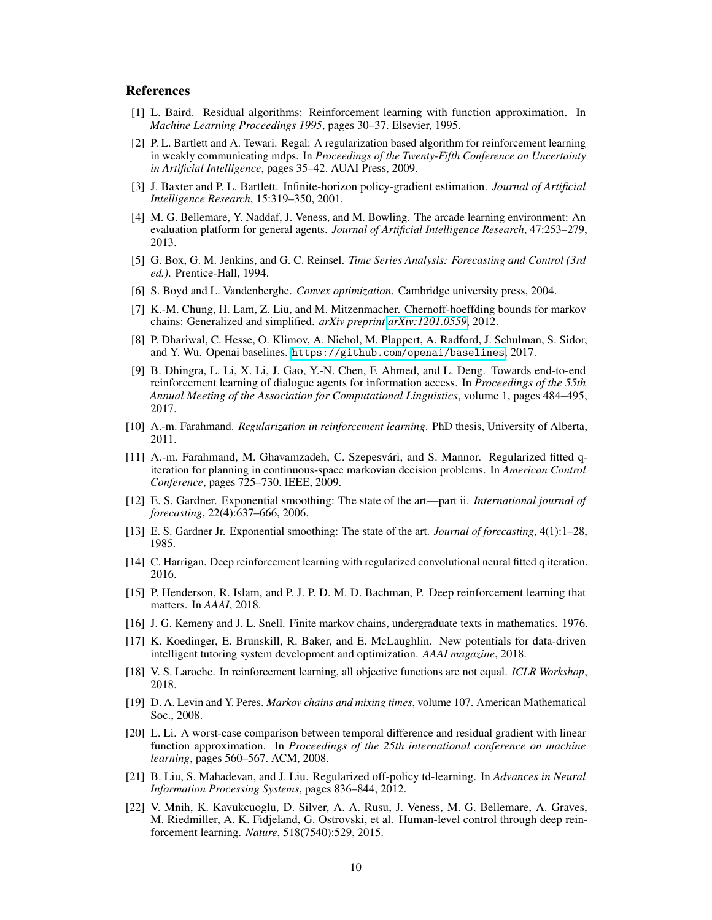### References

- <span id="page-9-8"></span>[1] L. Baird. Residual algorithms: Reinforcement learning with function approximation. In *Machine Learning Proceedings 1995*, pages 30–37. Elsevier, 1995.
- <span id="page-9-9"></span>[2] P. L. Bartlett and A. Tewari. Regal: A regularization based algorithm for reinforcement learning in weakly communicating mdps. In *Proceedings of the Twenty-Fifth Conference on Uncertainty in Artificial Intelligence*, pages 35–42. AUAI Press, 2009.
- <span id="page-9-16"></span>[3] J. Baxter and P. L. Bartlett. Infinite-horizon policy-gradient estimation. *Journal of Artificial Intelligence Research*, 15:319–350, 2001.
- <span id="page-9-17"></span>[4] M. G. Bellemare, Y. Naddaf, J. Veness, and M. Bowling. The arcade learning environment: An evaluation platform for general agents. *Journal of Artificial Intelligence Research*, 47:253–279, 2013.
- <span id="page-9-14"></span>[5] G. Box, G. M. Jenkins, and G. C. Reinsel. *Time Series Analysis: Forecasting and Control (3rd ed.)*. Prentice-Hall, 1994.
- <span id="page-9-21"></span>[6] S. Boyd and L. Vandenberghe. *Convex optimization*. Cambridge university press, 2004.
- <span id="page-9-12"></span>[7] K.-M. Chung, H. Lam, Z. Liu, and M. Mitzenmacher. Chernoff-hoeffding bounds for markov chains: Generalized and simplified. *arXiv preprint [arXiv:1201.0559](http://arxiv.org/abs/1201.0559)*, 2012.
- <span id="page-9-18"></span>[8] P. Dhariwal, C. Hesse, O. Klimov, A. Nichol, M. Plappert, A. Radford, J. Schulman, S. Sidor, and Y. Wu. Openai baselines. <https://github.com/openai/baselines>, 2017.
- <span id="page-9-1"></span>[9] B. Dhingra, L. Li, X. Li, J. Gao, Y.-N. Chen, F. Ahmed, and L. Deng. Towards end-to-end reinforcement learning of dialogue agents for information access. In *Proceedings of the 55th Annual Meeting of the Association for Computational Linguistics*, volume 1, pages 484–495, 2017.
- <span id="page-9-4"></span>[10] A.-m. Farahmand. *Regularization in reinforcement learning*. PhD thesis, University of Alberta, 2011.
- <span id="page-9-3"></span>[11] A.-m. Farahmand, M. Ghavamzadeh, C. Szepesvári, and S. Mannor. Regularized fitted qiteration for planning in continuous-space markovian decision problems. In *American Control Conference*, pages 725–730. IEEE, 2009.
- <span id="page-9-13"></span>[12] E. S. Gardner. Exponential smoothing: The state of the art—part ii. *International journal of forecasting*, 22(4):637–666, 2006.
- <span id="page-9-15"></span>[13] E. S. Gardner Jr. Exponential smoothing: The state of the art. *Journal of forecasting*, 4(1):1–28, 1985.
- <span id="page-9-6"></span>[14] C. Harrigan. Deep reinforcement learning with regularized convolutional neural fitted q iteration. 2016.
- <span id="page-9-2"></span>[15] P. Henderson, R. Islam, and P. J. P. D. M. D. Bachman, P. Deep reinforcement learning that matters. In *AAAI*, 2018.
- <span id="page-9-11"></span>[16] J. G. Kemeny and J. L. Snell. Finite markov chains, undergraduate texts in mathematics. 1976.
- <span id="page-9-0"></span>[17] K. Koedinger, E. Brunskill, R. Baker, and E. McLaughlin. New potentials for data-driven intelligent tutoring system development and optimization. *AAAI magazine*, 2018.
- <span id="page-9-20"></span>[18] V. S. Laroche. In reinforcement learning, all objective functions are not equal. *ICLR Workshop*, 2018.
- <span id="page-9-10"></span>[19] D. A. Levin and Y. Peres. *Markov chains and mixing times*, volume 107. American Mathematical Soc., 2008.
- <span id="page-9-7"></span>[20] L. Li. A worst-case comparison between temporal difference and residual gradient with linear function approximation. In *Proceedings of the 25th international conference on machine learning*, pages 560–567. ACM, 2008.
- <span id="page-9-5"></span>[21] B. Liu, S. Mahadevan, and J. Liu. Regularized off-policy td-learning. In *Advances in Neural Information Processing Systems*, pages 836–844, 2012.
- <span id="page-9-19"></span>[22] V. Mnih, K. Kavukcuoglu, D. Silver, A. A. Rusu, J. Veness, M. G. Bellemare, A. Graves, M. Riedmiller, A. K. Fidjeland, G. Ostrovski, et al. Human-level control through deep reinforcement learning. *Nature*, 518(7540):529, 2015.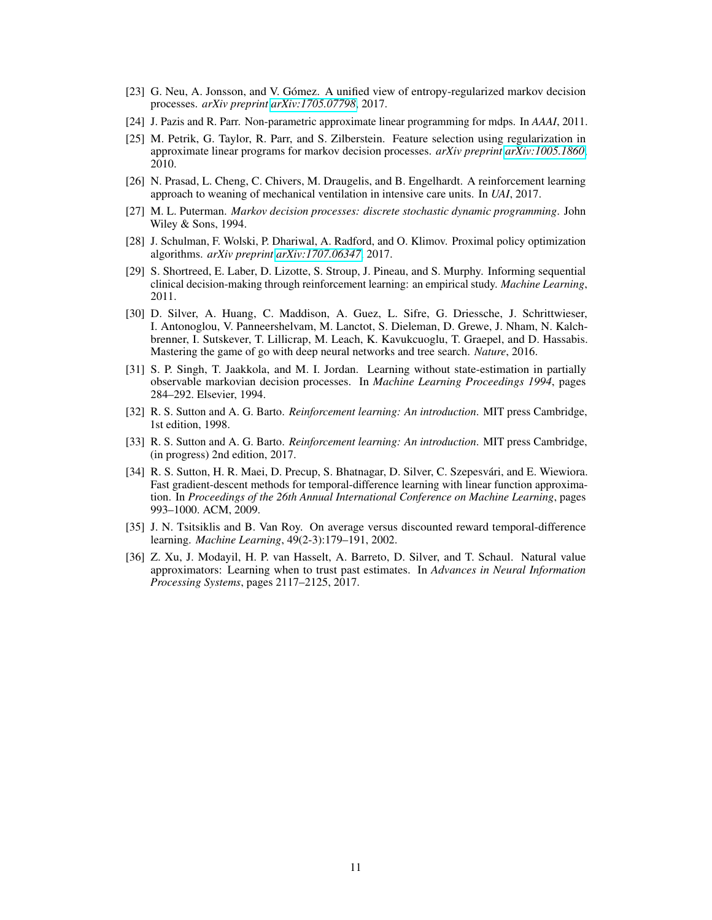- <span id="page-10-6"></span>[23] G. Neu, A. Jonsson, and V. Gómez. A unified view of entropy-regularized markov decision processes. *arXiv preprint [arXiv:1705.07798](http://arxiv.org/abs/1705.07798)*, 2017.
- <span id="page-10-4"></span>[24] J. Pazis and R. Parr. Non-parametric approximate linear programming for mdps. In *AAAI*, 2011.
- <span id="page-10-3"></span>[25] M. Petrik, G. Taylor, R. Parr, and S. Zilberstein. Feature selection using regularization in approximate linear programs for markov decision processes. *arXiv preprint [arXiv:1005.1860](http://arxiv.org/abs/1005.1860)*, 2010.
- <span id="page-10-2"></span>[26] N. Prasad, L. Cheng, C. Chivers, M. Draugelis, and B. Engelhardt. A reinforcement learning approach to weaning of mechanical ventilation in intensive care units. In *UAI*, 2017.
- <span id="page-10-10"></span>[27] M. L. Puterman. *Markov decision processes: discrete stochastic dynamic programming*. John Wiley & Sons, 1994.
- <span id="page-10-7"></span>[28] J. Schulman, F. Wolski, P. Dhariwal, A. Radford, and O. Klimov. Proximal policy optimization algorithms. *arXiv preprint [arXiv:1707.06347](http://arxiv.org/abs/1707.06347)*, 2017.
- <span id="page-10-1"></span>[29] S. Shortreed, E. Laber, D. Lizotte, S. Stroup, J. Pineau, and S. Murphy. Informing sequential clinical decision-making through reinforcement learning: an empirical study. *Machine Learning*, 2011.
- <span id="page-10-0"></span>[30] D. Silver, A. Huang, C. Maddison, A. Guez, L. Sifre, G. Driessche, J. Schrittwieser, I. Antonoglou, V. Panneershelvam, M. Lanctot, S. Dieleman, D. Grewe, J. Nham, N. Kalchbrenner, I. Sutskever, T. Lillicrap, M. Leach, K. Kavukcuoglu, T. Graepel, and D. Hassabis. Mastering the game of go with deep neural networks and tree search. *Nature*, 2016.
- <span id="page-10-13"></span>[31] S. P. Singh, T. Jaakkola, and M. I. Jordan. Learning without state-estimation in partially observable markovian decision processes. In *Machine Learning Proceedings 1994*, pages 284–292. Elsevier, 1994.
- <span id="page-10-8"></span>[32] R. S. Sutton and A. G. Barto. *Reinforcement learning: An introduction*. MIT press Cambridge, 1st edition, 1998.
- <span id="page-10-12"></span>[33] R. S. Sutton and A. G. Barto. *Reinforcement learning: An introduction*. MIT press Cambridge, (in progress) 2nd edition, 2017.
- <span id="page-10-5"></span>[34] R. S. Sutton, H. R. Maei, D. Precup, S. Bhatnagar, D. Silver, C. Szepesvári, and E. Wiewiora. Fast gradient-descent methods for temporal-difference learning with linear function approximation. In *Proceedings of the 26th Annual International Conference on Machine Learning*, pages 993–1000. ACM, 2009.
- <span id="page-10-11"></span>[35] J. N. Tsitsiklis and B. Van Roy. On average versus discounted reward temporal-difference learning. *Machine Learning*, 49(2-3):179–191, 2002.
- <span id="page-10-9"></span>[36] Z. Xu, J. Modayil, H. P. van Hasselt, A. Barreto, D. Silver, and T. Schaul. Natural value approximators: Learning when to trust past estimates. In *Advances in Neural Information Processing Systems*, pages 2117–2125, 2017.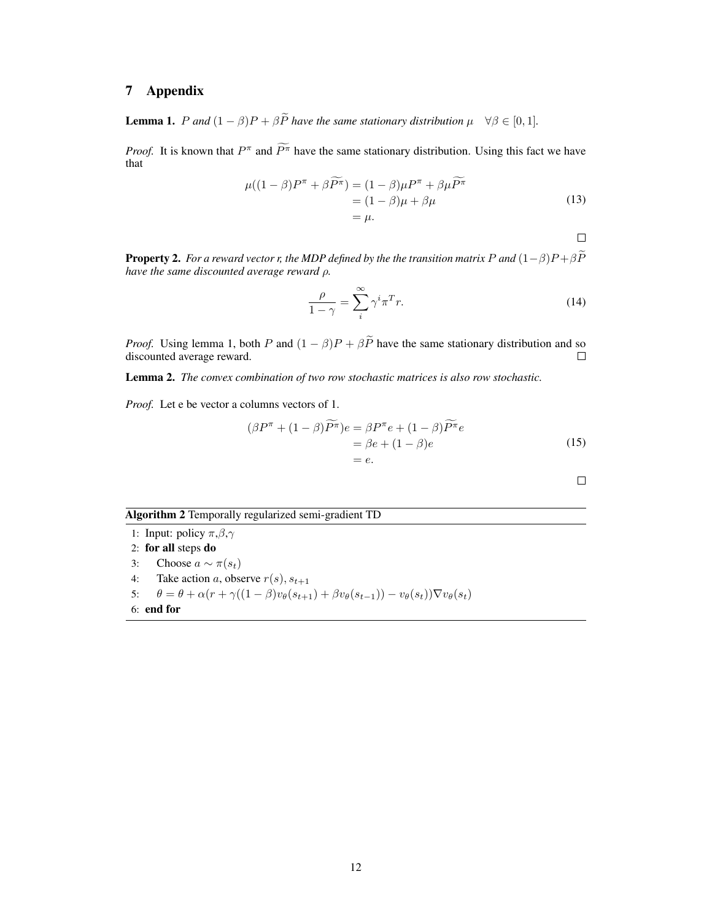# 7 Appendix

**Lemma 1.** P and  $(1 - \beta)P + \beta \tilde{P}$  have the same stationary distribution  $\mu \quad \forall \beta \in [0, 1]$ .

*Proof.* It is known that  $P^{\pi}$  and  $\overline{P^{\pi}}$  have the same stationary distribution. Using this fact we have that

$$
\mu((1 - \beta)P^{\pi} + \beta \widetilde{P^{\pi}}) = (1 - \beta)\mu P^{\pi} + \beta \mu \widetilde{P^{\pi}}
$$
  
=  $(1 - \beta)\mu + \beta \mu$   
=  $\mu$ . (13)

 $\Box$ 

 $\Box$ 

**Property 2.** *For a reward vector r, the MDP defined by the the transition matrix* P and  $(1-\beta)P + \beta\widetilde{P}$ *have the same discounted average reward* ρ*.*

$$
\frac{\rho}{1-\gamma} = \sum_{i}^{\infty} \gamma^i \pi^T r.
$$
\n(14)

*Proof.* Using lemma 1, both P and  $(1 - \beta)P + \beta \tilde{P}$  have the same stationary distribution and so discounted average reward. discounted average reward.

Lemma 2. *The convex combination of two row stochastic matrices is also row stochastic.*

*Proof.* Let e be vector a columns vectors of 1.

$$
(\beta P^{\pi} + (1 - \beta)\widetilde{P^{\pi}})e = \beta P^{\pi}e + (1 - \beta)\widetilde{P^{\pi}}e
$$
  
=  $\beta e + (1 - \beta)e$   
=  $e$ . (15)

# Algorithm 2 Temporally regularized semi-gradient TD

1: Input: policy  $\pi, \beta, \gamma$ 2: for all steps do 3: Choose  $a \sim \pi(s_t)$ 4: Take action a, observe  $r(s)$ ,  $s_{t+1}$ 5:  $\theta = \theta + \alpha (r + \gamma ((1 - \beta)v_{\theta}(s_{t+1}) + \beta v_{\theta}(s_{t-1})) - v_{\theta}(s_t)) \nabla v_{\theta}(s_t)$ 6: end for